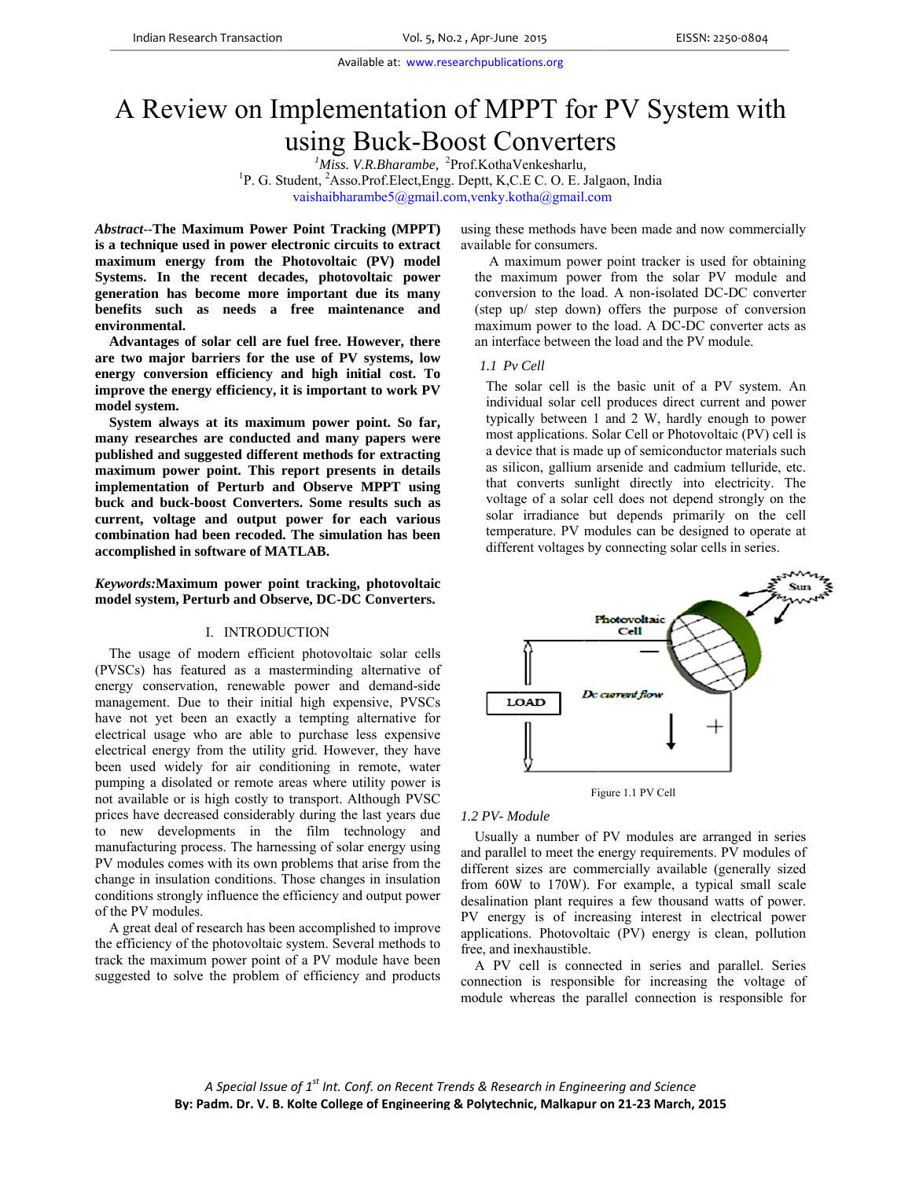# A Review on Implementation of MPPT for PV System with using Buck-Boost Converters

<sup>1</sup>Miss. V.R.Bharambe, <sup>2</sup>Prof.KothaVenkesharlu, <sup>1</sup>P. G. Student, <sup>2</sup>Asso.Prof.Elect, Engg. Deptt, K,C.E C. O. E. Jalgaon, India

vaishaibharambe5@gmail.com,venky.kotha@gmail.com

**Abstract--The Maximum Power Point Tracking (MPPT)** is a technique used in power electronic circuits to extract maximum energy from the Photovoltaic (PV) model Systems. In the recent decades, photovoltaic power generation has become more important due its many benefits such as needs a free maintenance and environmental.

Advantages of solar cell are fuel free. However, there are two major barriers for the use of PV systems, low energy conversion efficiency and high initial cost. To improve the energy efficiency, it is important to work PV model system.

System always at its maximum power point. So far, many researches are conducted and many papers were published and suggested different methods for extracting maximum power point. This report presents in details implementation of Perturb and Observe MPPT using buck and buck-boost Converters. Some results such as current, voltage and output power for each various combination had been recoded. The simulation has been accomplished in software of MATLAB.

Keywords: Maximum power point tracking, photovoltaic model system, Perturb and Observe, DC-DC Converters.

#### I. INTRODUCTION

The usage of modern efficient photovoltaic solar cells (PVSCs) has featured as a masterminding alternative of energy conservation, renewable power and demand-side management. Due to their initial high expensive, PVSCs have not yet been an exactly a tempting alternative for electrical usage who are able to purchase less expensive electrical energy from the utility grid. However, they have been used widely for air conditioning in remote, water pumping a disolated or remote areas where utility power is not available or is high costly to transport. Although PVSC prices have decreased considerably during the last years due to new developments in the film technology and manufacturing process. The harnessing of solar energy using PV modules comes with its own problems that arise from the change in insulation conditions. Those changes in insulation conditions strongly influence the efficiency and output power of the PV modules.

A great deal of research has been accomplished to improve the efficiency of the photovoltaic system. Several methods to track the maximum power point of a PV module have been suggested to solve the problem of efficiency and products

using these methods have been made and now commercially available for consumers.

A maximum power point tracker is used for obtaining the maximum power from the solar PV module and conversion to the load. A non-isolated DC-DC converter (step up/ step down) offers the purpose of conversion maximum power to the load. A DC-DC converter acts as an interface between the load and the PV module.

## 1.1 Pv Cell

The solar cell is the basic unit of a PV system. An individual solar cell produces direct current and power typically between 1 and 2 W, hardly enough to power most applications. Solar Cell or Photovoltaic (PV) cell is a device that is made up of semiconductor materials such as silicon, gallium arsenide and cadmium telluride, etc. that converts sunlight directly into electricity. The voltage of a solar cell does not depend strongly on the solar irradiance but depends primarily on the cell temperature. PV modules can be designed to operate at different voltages by connecting solar cells in series.



Figure 1.1 PV Cell

#### 1.2 PV-Module

Usually a number of PV modules are arranged in series and parallel to meet the energy requirements. PV modules of different sizes are commercially available (generally sized from 60W to 170W). For example, a typical small scale desalination plant requires a few thousand watts of power. PV energy is of increasing interest in electrical power applications. Photovoltaic (PV) energy is clean, pollution free, and inexhaustible.

A PV cell is connected in series and parallel. Series connection is responsible for increasing the voltage of module whereas the parallel connection is responsible for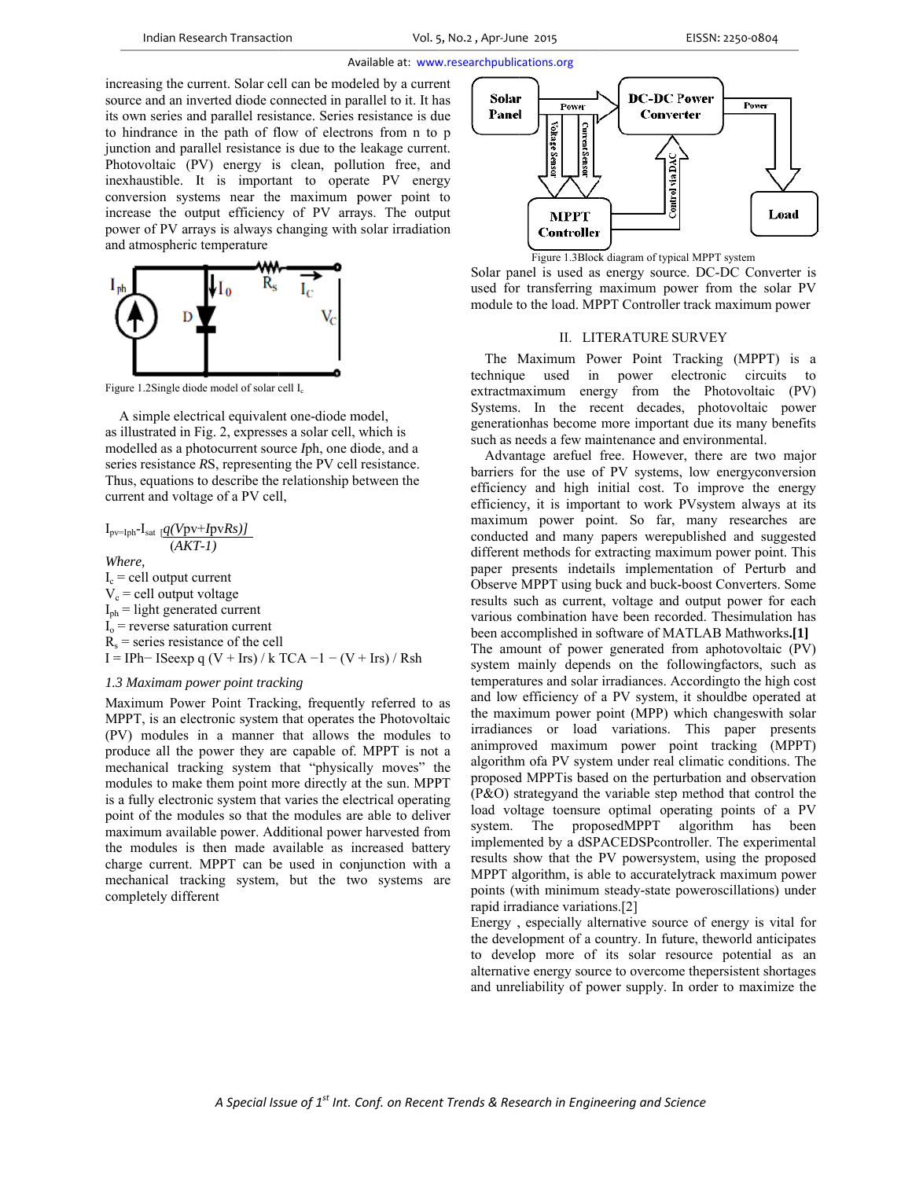increasing the current. Solar cell can be modeled by a current source and an inverted diode connected in parallel to it. It has its own series and parallel resistance. Series resistance is due to hindrance in the path of flow of electrons from n to p junction and parallel resistance is due to the leakage current. Photovoltaic (PV) energy is clean, pollution free, and inexhaustible. It is important to operate PV energy conversion systems near the maximum power point to increase the output efficiency of PV arrays. The output power of PV arrays is always changing with solar irradiation and atmospheric temperature



Figure 1.2Single diode model of solar cell  $I_c$ 

A simple electrical equivalent one-diode model, as illustrated in Fig. 2, expresses a solar cell, which is modelled as a photocurrent source Iph, one diode, and a series resistance RS, representing the PV cell resistance. Thus, equations to describe the relationship between the current and voltage of a PV cell,

 $I_{pv=Iph}$ - $I_{sat}$  [ $q(Vpv+IpvRs)$ ]  $(AKT-1)$ 

Where.  $I_c$  = cell output current  $V_c$  = cell output voltage  $I_{ph}$  = light generated current  $I_0$  = reverse saturation current  $R_s$  = series resistance of the cell I = IPh-ISeexp q (V + Irs) / k TCA -1 - (V + Irs) / Rsh

# 1.3 Maximam power point tracking

Maximum Power Point Tracking, frequently referred to as MPPT, is an electronic system that operates the Photovoltaic (PV) modules in a manner that allows the modules to produce all the power they are capable of. MPPT is not a mechanical tracking system that "physically moves" the modules to make them point more directly at the sun. MPPT is a fully electronic system that varies the electrical operating point of the modules so that the modules are able to deliver maximum available power. Additional power harvested from the modules is then made available as increased battery charge current. MPPT can be used in conjunction with a mechanical tracking system, but the two systems are completely different





Solar panel is used as energy source. DC-DC Converter is used for transferring maximum power from the solar PV module to the load. MPPT Controller track maximum power

## II. LITERATURE SURVEY

The Maximum Power Point Tracking (MPPT) is a technique used in power electronic circuits to extractmaximum energy from the Photovoltaic (PV) Systems. In the recent decades, photovoltaic power generation has become more important due its many benefits such as needs a few maintenance and environmental.

Advantage arefuel free. However, there are two major barriers for the use of PV systems, low energy conversion efficiency and high initial cost. To improve the energy efficiency, it is important to work PVsystem always at its maximum power point. So far, many researches are conducted and many papers werepublished and suggested different methods for extracting maximum power point. This paper presents indetails implementation of Perturb and Observe MPPT using buck and buck-boost Converters. Some results such as current, voltage and output power for each various combination have been recorded. The simulation has been accomplished in software of MATLAB Mathworks.[1] The amount of power generated from aphotovoltaic (PV) system mainly depends on the followingfactors, such as temperatures and solar irradiances. According to the high cost and low efficiency of a PV system, it shouldbe operated at the maximum power point (MPP) which changes with solar irradiances or load variations. This paper presents animproved maximum power point tracking (MPPT) algorithm of aPV system under real climatic conditions. The proposed MPPT is based on the perturbation and observation (P&O) strategyand the variable step method that control the load voltage toensure optimal operating points of a PV system. The proposedMPPT algorithm has been implemented by a dSPACEDSPcontroller. The experimental results show that the PV powersystem, using the proposed MPPT algorithm, is able to accuratelytrack maximum power points (with minimum steady-state poweroscillations) under rapid irradiance variations.[2]

Energy, especially alternative source of energy is vital for the development of a country. In future, the world anticipates to develop more of its solar resource potential as an alternative energy source to overcome the persistent shortages and unreliability of power supply. In order to maximize the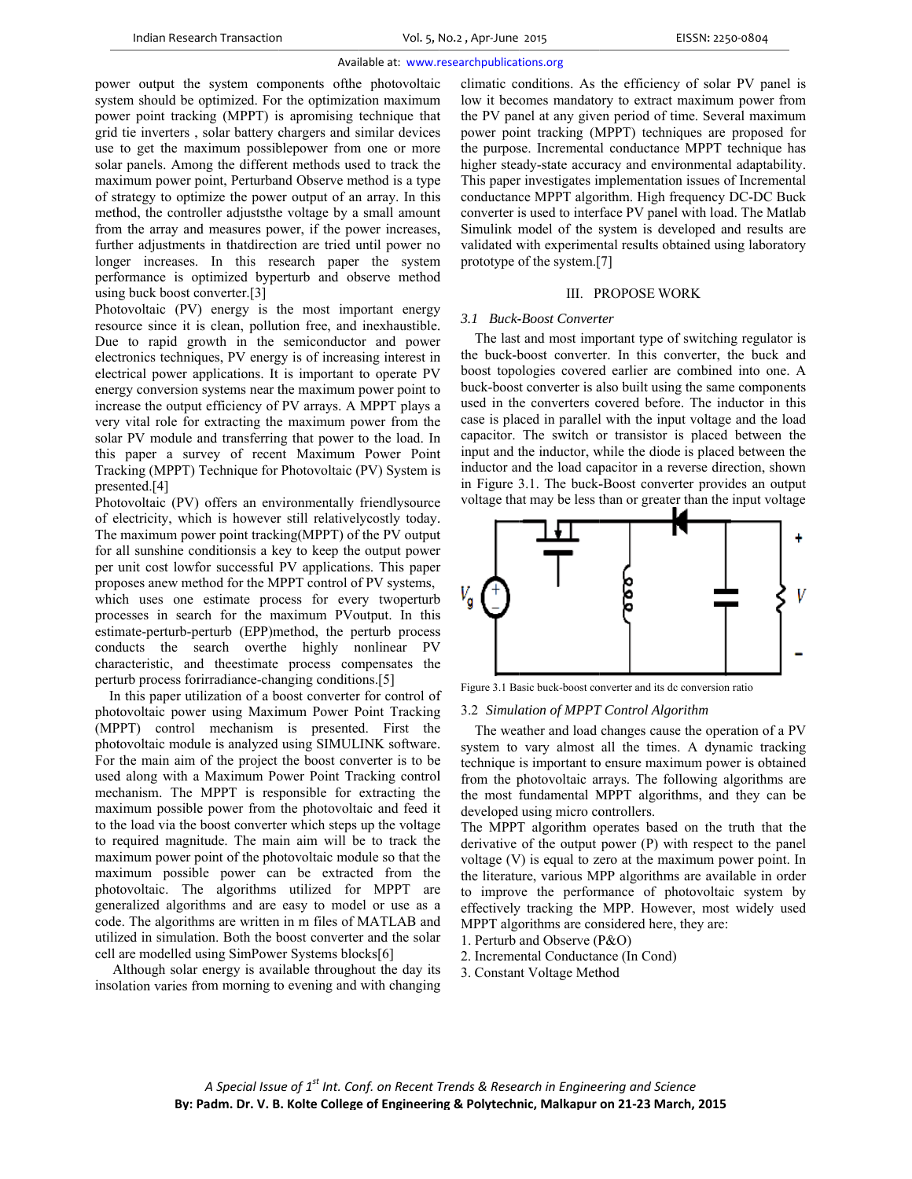power output the system components of the photovoltaic<br>system should be optimized. For the optimization maximum<br>power point tracking (MPPT) is apromising technique that system should be optimized. For the optimization maximum power point tracking (MPPT) is apromising technique that grid tie inverters, solar battery chargers and similar devices use to get the maximum possiblepower from one or more solar panels. Among the different methods used to track the maximum power point, Perturband Observe method is a type of strategy to optimize the power output of an array. In this method, the controller adjuststhe voltage by a small amount from the array and measures power, if the power increases, further adjustments in thatdirection are tried until power no longer increases. In this research paper the system performance is optimized byperturb and observe method using buck boost converter.<sup>[3]</sup> seee<br>eest

Photovoltaic (PV) energy is the most important energy resource since it is clean, pollution free, and inexhaustible. Due to rapid growth in the semiconductor and power electronics techniques, PV energy is of increasing interest in electrical power applications. It is important to operate PV energy conversion systems near the maximum power point to increase the output efficiency of PV arrays. A MPPT plays a very vital role for extracting the maximum power from the solar PV module and transferring that power to the load. In this paper a survey of recent Maximum Power Point Tracking (MPPT) Technique for Photovoltaic (PV) System is pres ented.[4] es, nombod<br>byle.erinvoent<br>he landering.

Photovoltaic (PV) offers an environmentally friendlysource of electricity, which is however still relativelycostly today. The maximum power point tracking (MPPT) of the PV output for all sunshine conditionsis a key to keep the output power per unit cost lowfor successful PV applications. This paper proposes anew method for the MPPT control of PV systems, which uses one estimate process for every twoperturb processes in search for the maximum PVoutput. In this estimate-perturb-perturb (EPP)method, the perturb process cond ducts the s earch overth he highly n nonlinear PV characteristic, and the estimate process compensates the perturb process forirradiance-changing conditions.[5] is e.y.ut erer, bisss V ne of ngee.el

In this paper utilization of a boost converter for control of photovoltaic power using Maximum Power Point Tracking (MPPT) control mechanism is presented. First the photovoltaic module is analyzed using SIMULINK software. For the main aim of the project the boost converter is to be used along with a Maximum Power Point Tracking control mechanism. The MPPT is responsible for extracting the maximum possible power from the photovoltaic and feed it maximum possible power from the photovoltaic and feed it to the load via the boost converter which steps up the voltage to required magnitude. The main aim will be to track the maximum power point of the photovoltaic module so that the maximum possible power can be extracted from the photovoltaic. The algorithms utilized for MPPT are generalized algorithms and are easy to model or use as a code. The algorithms are written in m files of MATLAB and utilized in simulation. Both the boost converter and the solar cell are modelled using SimPower Systems blocks[6]

Although solar energy is available throughout the day its insolation varies from morning to evening and with changing low it becomes mandatory to extract maximum power from the PV panel at any given period of time. Several maximum power point tracking (MPPT) techniques are proposed for the purpose. Incremental conductance MPPT technique has higher steady-state accuracy and environmental adaptability. This paper investigates implementation issues of Incremental conductance MPPT algorithm. High frequency DC-DC Buck converter is used to interface PV panel with load. The Matlab Simulink model of the system is developed and results are validated with experimental results obtained using laboratory prototype of the system. $[7]$ onditions. As the efficiency of solar PV panel is

## III. PROPOSE WORK

#### *3.1 Buck--Boost Convert ter*

The last and most important type of switching regulator is the buck-boost converter. In this converter, the buck and boost topologies covered earlier are combined into one. A buck-boost converter is also built using the same components used in the converters covered before. The inductor in this case is placed in parallel with the input voltage and the load capacitor. The switch or transistor is placed between the input and the inductor, while the diode is placed between the inductor and the load capacitor in a reverse direction, shown in Figure 3.1. The buck-Boost converter provides an output voltage that may be less than or greater than the input voltage



Figure 3.1 Basic buck-boost converter and its dc conversion ratio

## 3.2 Simulation of MPPT Control Algorithm

The weather and load changes cause the operation of a PV system to vary almost all the times. A dynamic tracking technique is important to ensure maximum power is obtained from the photovoltaic arrays. The following algorithms are the most fundamental MPPT algorithms, and they can be developed using micro controllers.

The MPPT algorithm operates based on the truth that the derivative of the output power (P) with respect to the panel voltage (V) is equal to zero at the maximum power point. In the literature, various MPP algorithms are available in order to improve the performance of photovoltaic system by effectively tracking the MPP. However, most widely used MPPT algorithms are considered here, they are:

- 1. Perturb and Observe (P P&O)
- 2. Incremental Conductance (In Cond)
- 3. Constant Voltage Method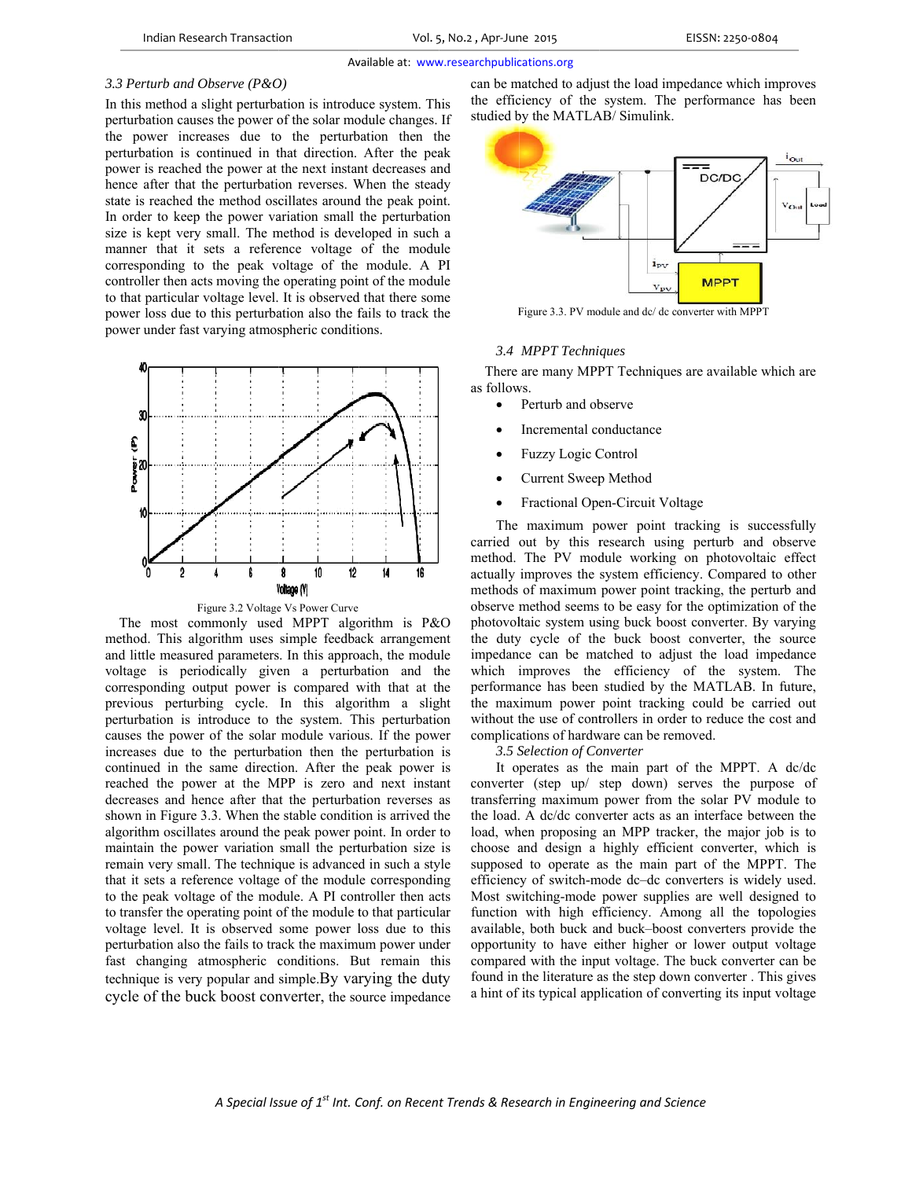## *3.3 3 Perturb and O Observe (P&O O)*

In this method a slight perturbation is introduce system. This perturbation causes the power of the solar module changes. If the power increases due to the perturbation then the perturbation is continued in that direction. After the peak power is reached the power at the next instant decreases and hence after that the perturbation reverses. When the steady state is reached the method oscillates around the peak point. In order to keep the power variation small the perturbation size is kept very small. The method is developed in such a manner that it sets a reference voltage of the module corresponding to the peak voltage of the module. A PI controller then acts moving the operating point of the module to that particular voltage level. It is observed that there some power loss due to this perturbation also the fails to track the power under fast varying atmospheric conditions.



Figure 3.2 Voltage Vs Power Curve

method. This algorithm uses simple feedback arrangement and little measured parameters. In this approach, the module voltage is periodically given a perturbation and the corresponding output power is compared with that at the previous perturbing cycle. In this algorithm a slight perturbation is introduce to the system. This perturbation causes the power of the solar module various. If the power increases due to the perturbation then the perturbation is continued in the same direction. After the peak power is reached the power at the MPP is zero and next instant decreases and hence after that the perturbation reverses as shown in Figure 3.3. When the stable condition is arrived the algorithm oscillates around the peak power point. In order to maintain the power variation small the perturbation size is remain very small. The technique is advanced in such a style that it sets a reference voltage of the module corresponding to the peak voltage of the module. A PI controller then acts to transfer the operating point of the module to that particular voltage level. It is observed some power loss due to this perturbation also the fails to track the maximum power under fast changing atmospheric conditions. But remain this technique is very popular and simple. By varying the duty cycle of the buck boost converter, the source impedance The most commonly used MPPT algorithm is P&O

can be matched to adjust the load impedance which improves the efficiency of the system. The performance has been studied by the MATLAB/ Simulink.



Figure 3.3. PV module and dc/ dc converter with MPPT

## *3.4 MPPT Techni iques*

There are many MPPT Techniques are available which are as follows.

- $\bullet$ Perturb and ob bserve
- $\bullet$ Incremental conductance
- $\bullet$ Fuzzy Logic C Control
- $\bullet$ Current Sweep p Method
- $\bullet$ Fractional Open-Circuit Voltage

The maximum power point tracking is successfully carried out by this research using perturb and observe method. The PV module working on photovoltaic effect actually improves the system efficiency. Compared to other methods of maximum power point tracking, the perturb and observe method seems to be easy for the optimization of the photovoltaic system using buck boost converter. By varying the duty cycle of the buck boost converter, the source impedance can be matched to adjust the load impedance which improves the efficiency of the system. The performance has been studied by the MATLAB. In future, the max ximum power point tracking g could be ca arried out without the use of controllers in order to reduce the cost and complications of hardware can be removed.

*3.5 S Selection of Co onverter*

It operates as the main part of the MPPT. A dc/dc converter (step up/ step down) serves the purpose of transferring maximum power from the solar PV module to the load. A dc/dc converter acts as an interface between the load, when proposing an MPP tracker, the major job is to choose and design a highly efficient converter, which is supposed to operate as the main part of the MPPT. The efficiency of switch-mode dc-dc converters is widely used. Most switching-mode power supplies are well designed to function with high efficiency. Among all the topologies available, both buck and buck-boost converters provide the opportunity to have either higher or lower output voltage compared with the input voltage. The buck converter can be found in the literature as the step down converter. This gives a hint of its typical application of converting its input voltage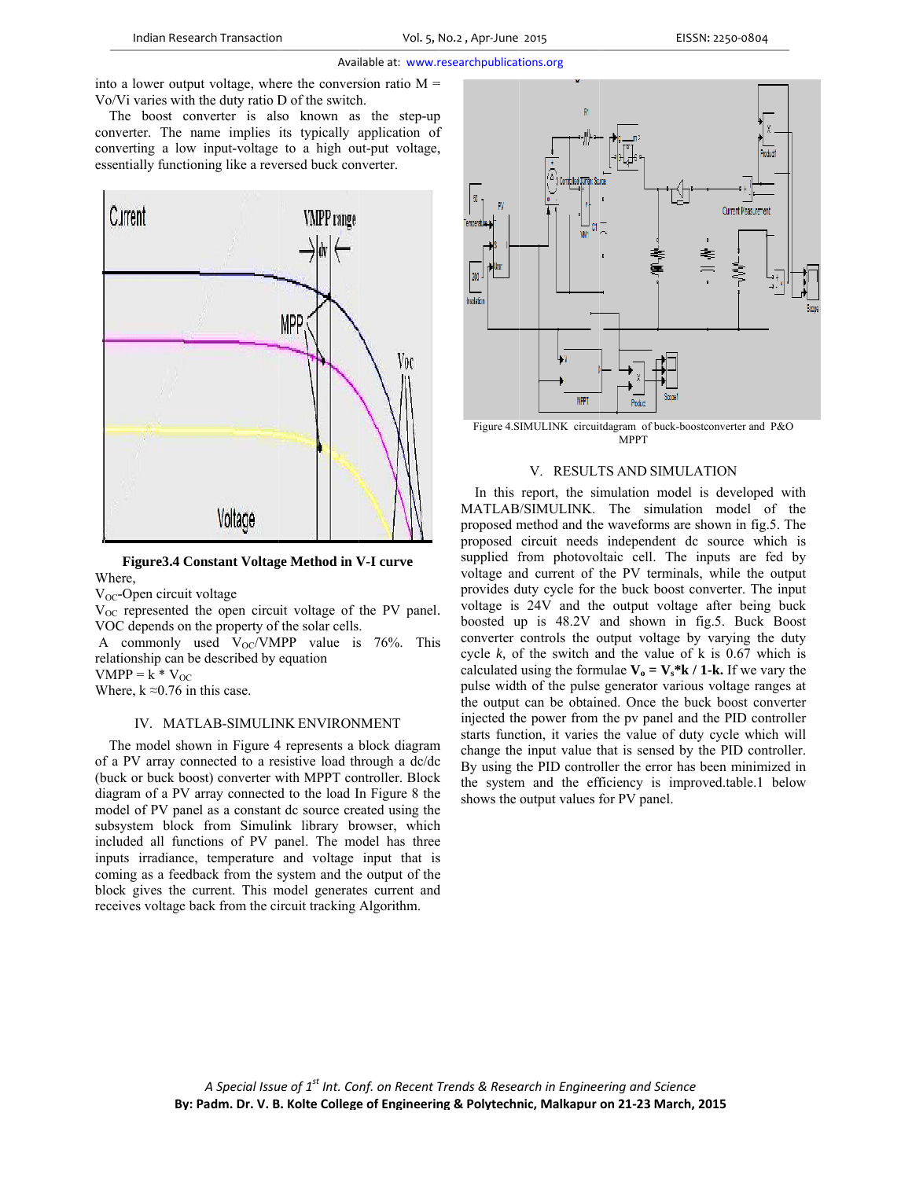into a lower output voltage, where the conversion ratio  $M =$ Vo/Vi varies with the duty ratio D of the switch.

The boost converter is also known as the step-up converter. The name implies its typically application of converting a low input-voltage to a high out-put voltage, essentially functioning like a reversed buck converter.



Figure 3.4 Constant Voltage Method in V-I curve Where.

 $V_{OC}$ -Open circuit voltage

 $V_{OC}$  represented the open circuit voltage of the PV panel. VOC depends on the property of the solar cells.

A commonly used  $V_{OC}/VMPP$  value is 76%. This relationship can be described by equation

 $VMPP = \hat{k} * V_{OC}$ 

Where,  $k \approx 0.76$  in this case.

## IV. MATLAB-SIMULINK ENVIRONMENT

The model shown in Figure 4 represents a block diagram of a PV array connected to a resistive load through a dc/dc (buck or buck boost) converter with MPPT controller. Block diagram of a PV array connected to the load In Figure 8 the model of PV panel as a constant dc source created using the subsystem block from Simulink library browser, which included all functions of PV panel. The model has three inputs irradiance, temperature and voltage input that is coming as a feedback from the system and the output of the block gives the current. This model generates current and receives voltage back from the circuit tracking Algorithm.



Figure 4.SIMULINK circuitdagram of buck-boostconverter and P&O **MPPT** 

#### V. RESULTS AND SIMULATION

In this report, the simulation model is developed with MATLAB/SIMULINK. The simulation model of the proposed method and the waveforms are shown in fig.5. The proposed circuit needs independent dc source which is supplied from photovoltaic cell. The inputs are fed by voltage and current of the PV terminals, while the output provides duty cycle for the buck boost converter. The input voltage is 24V and the output voltage after being buck boosted up is 48.2V and shown in fig.5. Buck Boost converter controls the output voltage by varying the duty cycle  $k$ , of the switch and the value of  $k$  is 0.67 which is calculated using the formulae  $V_0 = V_s * k / 1 - k$ . If we vary the pulse width of the pulse generator various voltage ranges at the output can be obtained. Once the buck boost converter injected the power from the pv panel and the PID controller starts function, it varies the value of duty cycle which will change the input value that is sensed by the PID controller. By using the PID controller the error has been minimized in the system and the efficiency is improved table.1 below shows the output values for PV panel.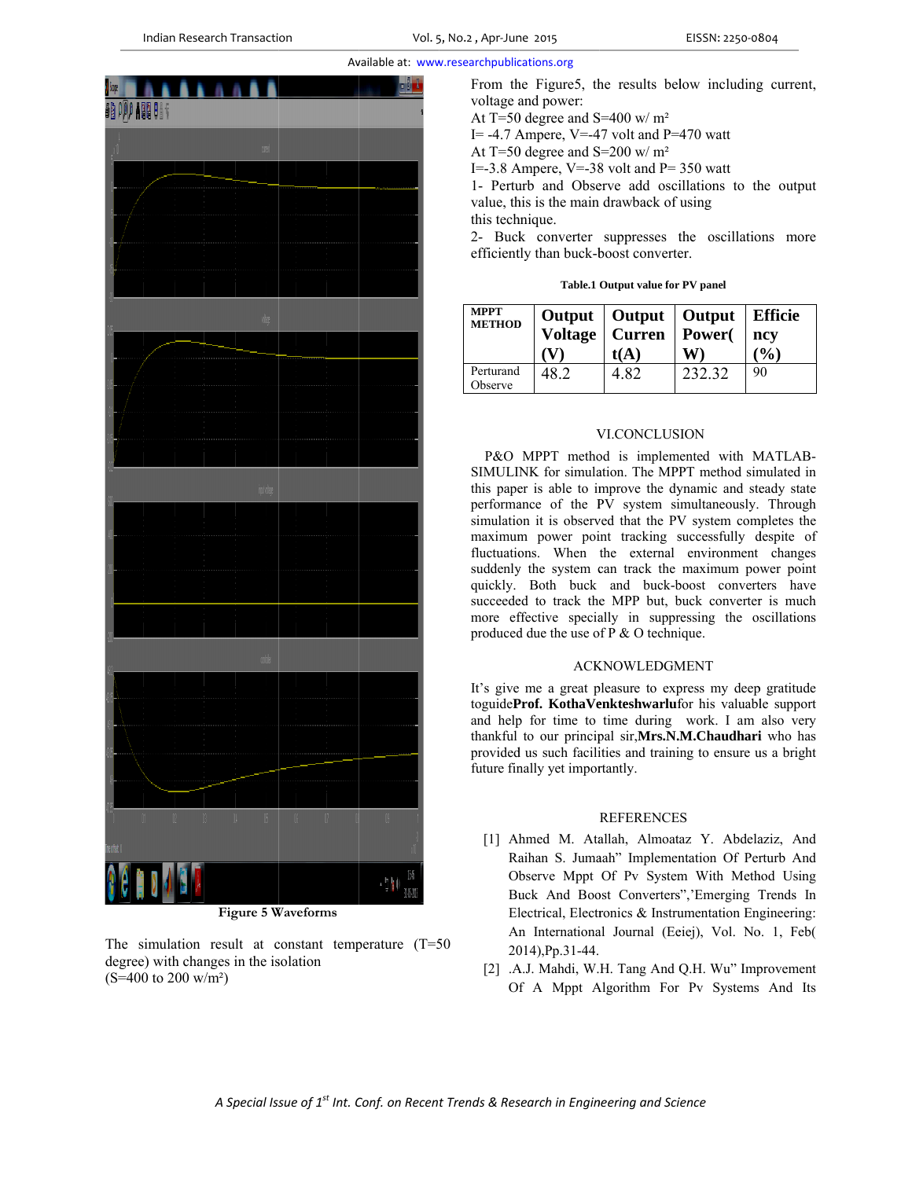

**Figure 5 Waveforms** 

The simulation result at constant temperature  $(T=50)$ degree) with changes in the isolation  $(S=400 \text{ to } 200 \text{ w/m}^2)$ 

From the Figure 5, the results below including current, voltage and power:

At T=50 degree and S=400 w/  $m^2$ 

I = -4.7 Ampere, V = -47 volt and P = 470 watt

At T=50 degree and S=200 w/ $m<sup>2</sup>$ 

I= $-3.8$  Ampere, V= $-38$  volt and P= 350 watt

1- Perturb and Observe add oscillations to the output value, this is the main drawback of using this technique.

2- Buck converter suppresses the oscillations more efficiently than buck-boost converter.

Table.1 Output value for PV panel

| <b>MPPT</b><br><b>METHOD</b> | <b>Voltage</b> | Output   Output   Output<br>  Curren<br>t(A) | Power( | <b>Efficie</b><br>ncv<br>$\mathcal{O}_0$ |
|------------------------------|----------------|----------------------------------------------|--------|------------------------------------------|
| Perturand<br>Observe         | 48 2           | 4 82                                         | 232.32 | 90                                       |

# VI.CONCLUSION

P&O MPPT method is implemented with MATLAB-SIMULINK for simulation. The MPPT method simulated in this paper is able to improve the dynamic and steady state performance of the PV system simultaneously. Through simulation it is observed that the PV system completes the maximum power point tracking successfully despite of fluctuations. When the external environment changes suddenly the system can track the maximum power point quickly. Both buck and buck-boost converters have succeeded to track the MPP but, buck converter is much more effective specially in suppressing the oscillations produced due the use of  $P \& O$  technique.

## **ACKNOWLEDGMENT**

It's give me a great pleasure to express my deep gratitude toguideProf. KothaVenkteshwarlufor his valuable support and help for time to time during work. I am also very thankful to our principal sir, Mrs.N.M.Chaudhari who has provided us such facilities and training to ensure us a bright future finally yet importantly.

## **REFERENCES**

- [1] Ahmed M. Atallah, Almoataz Y. Abdelaziz, And Raihan S. Jumaah" Implementation Of Perturb And Observe Mppt Of Pv System With Method Using Buck And Boost Converters", Emerging Trends In Electrical, Electronics & Instrumentation Engineering: An International Journal (Eeiej), Vol. No. 1, Feb( 2014), Pp.31-44.
- [2] .A.J. Mahdi, W.H. Tang And Q.H. Wu" Improvement Of A Mppt Algorithm For Pv Systems And Its